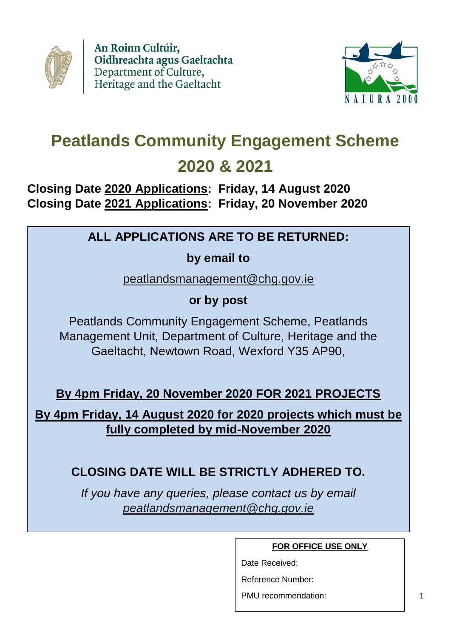



# **Peatlands Community Engagement Scheme 2020 & 2021**

# **Closing Date 2020 Applications: Friday, 14 August 2020 Closing Date 2021 Applications: Friday, 20 November 2020**

# **ALL APPLICATIONS ARE TO BE RETURNED:**

**by email to**

[peatlandsmanagement@chg.gov.ie](mailto:peatlandsmanagement@chg.gov.ie)

**or by post**

Peatlands Community Engagement Scheme, Peatlands Management Unit, Department of Culture, Heritage and the Gaeltacht, Newtown Road, Wexford Y35 AP90,

**By 4pm Friday, 20 November 2020 FOR 2021 PROJECTS**

**By 4pm Friday, 14 August 2020 for 2020 projects which must be fully completed by mid-November 2020**

# **CLOSING DATE WILL BE STRICTLY ADHERED TO.**

*If you have any queries, please contact us by email [peatlandsmanagement@chg.gov.ie](mailto:peatlandsmanagement@chg.gov.ie)*

**FOR OFFICE USE ONLY**

Date Received:

Reference Number:

PMU recommendation: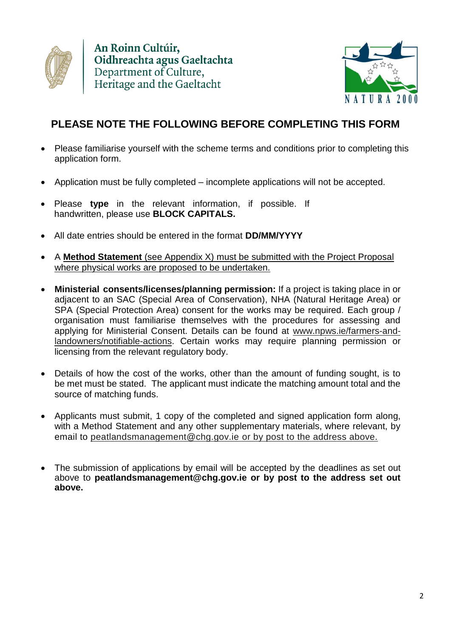



# **PLEASE NOTE THE FOLLOWING BEFORE COMPLETING THIS FORM**

- Please familiarise yourself with the scheme terms and conditions prior to completing this application form.
- Application must be fully completed incomplete applications will not be accepted.
- Please **type** in the relevant information, if possible. If handwritten, please use **BLOCK CAPITALS.**
- All date entries should be entered in the format **DD/MM/YYYY**
- A **Method Statement** (see Appendix X) must be submitted with the Project Proposal where physical works are proposed to be undertaken.
- **Ministerial consents/licenses/planning permission:** If a project is taking place in or adjacent to an SAC (Special Area of Conservation), NHA (Natural Heritage Area) or SPA (Special Protection Area) consent for the works may be required. Each group / organisation must familiarise themselves with the procedures for assessing and applying for Ministerial Consent. Details can be found at [www.npws.ie/farmers-and](http://www.npws.ie/farmers-and-landowners/notifiable-actions)[landowners/notifiable-actions.](http://www.npws.ie/farmers-and-landowners/notifiable-actions) Certain works may require planning permission or licensing from the relevant regulatory body.
- Details of how the cost of the works, other than the amount of funding sought, is to be met must be stated. The applicant must indicate the matching amount total and the source of matching funds.
- Applicants must submit, 1 copy of the completed and signed application form along, with a Method Statement and any other supplementary materials, where relevant, by email to [peatlandsmanagement@chg.gov.ie](mailto:peatlandsmanagement@chg.gov.ie) or by post to the address above.
- The submission of applications by email will be accepted by the deadlines as set out above to **[peatlandsmanagement@chg.gov.ie](mailto:peatlandsmanagement@chg.gov.ie) or by post to the address set out above.**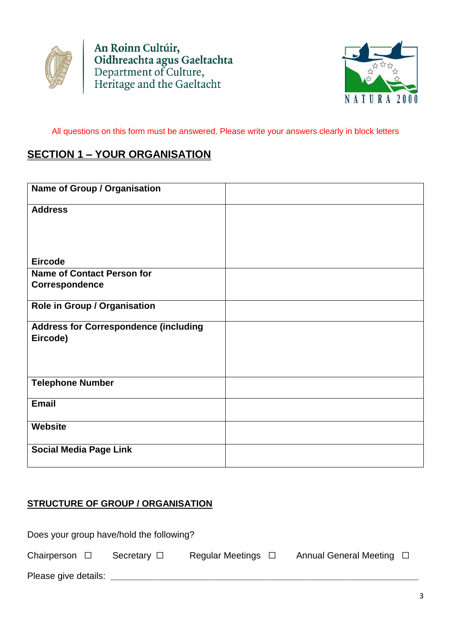



All questions on this form must be answered. Please write your answers clearly in block letters

## **SECTION 1 – YOUR ORGANISATION**

| Name of Group / Organisation                 |  |
|----------------------------------------------|--|
| <b>Address</b>                               |  |
|                                              |  |
|                                              |  |
| <b>Eircode</b>                               |  |
| <b>Name of Contact Person for</b>            |  |
| Correspondence                               |  |
| Role in Group / Organisation                 |  |
| <b>Address for Correspondence (including</b> |  |
| Eircode)                                     |  |
|                                              |  |
|                                              |  |
| <b>Telephone Number</b>                      |  |
| <b>Email</b>                                 |  |
|                                              |  |
| <b>Website</b>                               |  |
| <b>Social Media Page Link</b>                |  |
|                                              |  |

## **STRUCTURE OF GROUP / ORGANISATION**

| Does your group have/hold the following? |                  |                         |  |                               |  |
|------------------------------------------|------------------|-------------------------|--|-------------------------------|--|
| Chairperson $\square$                    | Secretary $\Box$ | Regular Meetings $\Box$ |  | Annual General Meeting $\Box$ |  |
| Please give details:                     |                  |                         |  |                               |  |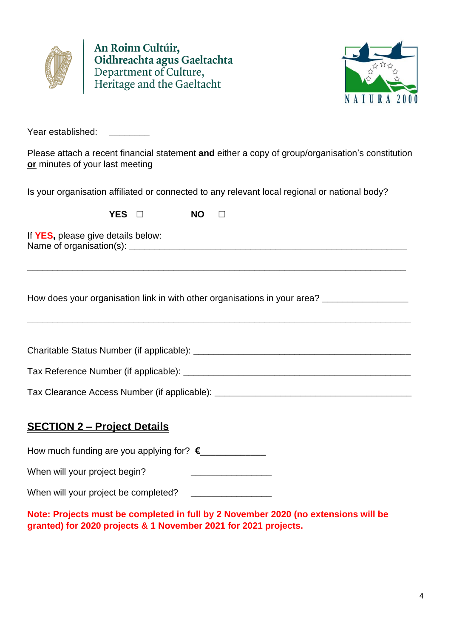



Year established: **\_\_\_\_\_\_\_\_**

Please attach a recent financial statement **and** either a copy of group/organisation's constitution **or** minutes of your last meeting

Is your organisation affiliated or connected to any relevant local regional or national body?

| <b>YES</b> | <b>NO</b> |  |
|------------|-----------|--|
|            |           |  |

If **YES,** please give details below: Name of organisation(s):

How does your organisation link in with other organisations in your area? **\_\_\_\_\_\_\_\_\_\_\_\_\_\_\_\_\_**

Charitable Status Number (if applicable): **\_\_\_\_\_\_\_\_\_\_\_\_\_\_\_\_\_\_\_\_\_\_\_\_\_\_\_\_\_\_\_\_\_\_\_\_\_\_\_\_\_\_\_**

**\_\_\_\_\_\_\_\_\_\_\_\_\_\_\_\_\_\_\_\_\_\_\_\_\_\_\_\_\_\_\_\_\_\_\_\_\_\_\_\_\_\_\_\_\_\_\_\_\_\_\_\_\_\_\_\_\_\_\_\_\_\_\_\_\_\_\_\_\_\_\_\_\_\_\_\_**

**\_\_\_\_\_\_\_\_\_\_\_\_\_\_\_\_\_\_\_\_\_\_\_\_\_\_\_\_\_\_\_\_\_\_\_\_\_\_\_\_\_\_\_\_\_\_\_\_\_\_\_\_\_\_\_\_\_\_\_\_\_\_\_\_\_\_\_\_\_\_\_\_\_\_\_**

Tax Reference Number (if applicable): **Tax** Reference Number (if applicable):

Tax Clearance Access Number (if applicable): **\_\_\_\_\_\_\_\_\_\_\_\_\_\_\_\_\_\_\_\_\_\_\_\_\_\_\_\_\_\_\_\_\_\_\_\_\_\_\_**

### **SECTION 2 – Project Details**

How much funding are you applying for? **€\_\_\_\_\_\_\_\_\_\_\_\_\_**

When will your project begin?

When will your project be completed? **\_\_\_\_\_\_\_\_\_\_\_\_\_\_\_\_**

**Note: Projects must be completed in full by 2 November 2020 (no extensions will be granted) for 2020 projects & 1 November 2021 for 2021 projects.**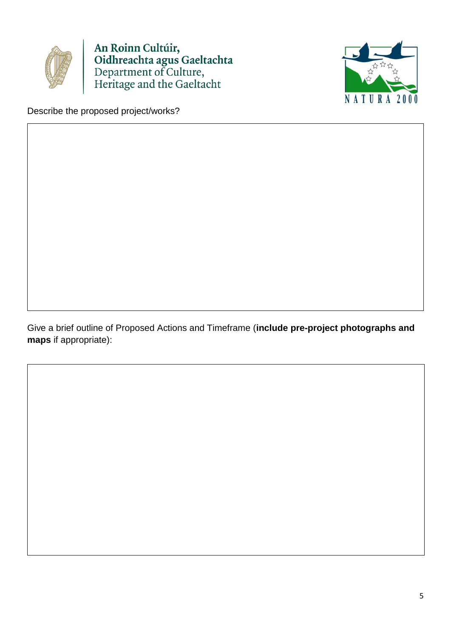



Describe the proposed project/works?

Give a brief outline of Proposed Actions and Timeframe (**include pre-project photographs and maps** if appropriate):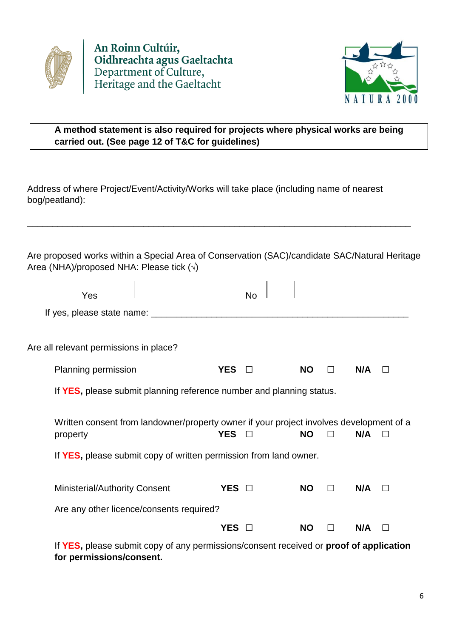

An Roinn Cultúir, **Commodation**<br> **Confidence**<br> **Confidence**<br> **Confidence**<br> **Confidence**<br> **Confidence**<br> **Confidence**<br> **Confidence**<br> **Confidence**<br> **Confidence**<br> **Confidence** 



## **A method statement is also required for projects where physical works are being carried out. (See page 12 of T&C for guidelines)**

Address of where Project/Event/Activity/Works will take place (including name of nearest bog/peatland):

Are proposed works within a Special Area of Conservation (SAC)/candidate SAC/Natural Heritage Area (NHA)/proposed NHA: Please tick  $(\sqrt)$ 

**\_\_\_\_\_\_\_\_\_\_\_\_\_\_\_\_\_\_\_\_\_\_\_\_\_\_\_\_\_\_\_\_\_\_\_\_\_\_\_\_\_\_\_\_\_\_\_\_\_\_\_\_\_\_\_\_\_\_\_\_\_\_\_\_\_\_\_\_\_\_\_\_\_\_\_\_**

| Yes                                                                                                 |            | <b>No</b> |           |        |     |              |
|-----------------------------------------------------------------------------------------------------|------------|-----------|-----------|--------|-----|--------------|
| If yes, please state name: _________                                                                |            |           |           |        |     |              |
| Are all relevant permissions in place?                                                              |            |           |           |        |     |              |
| Planning permission                                                                                 | <b>YES</b> | П         | <b>NO</b> | $\Box$ | N/A | $\Box$       |
| If YES, please submit planning reference number and planning status.                                |            |           |           |        |     |              |
| Written consent from landowner/property owner if your project involves development of a<br>property | <b>YES</b> | П         | <b>NO</b> |        | N/A |              |
| If YES, please submit copy of written permission from land owner.                                   |            |           |           |        |     |              |
| <b>Ministerial/Authority Consent</b>                                                                | YES O      |           | <b>NO</b> | П      | N/A | $\mathsf{L}$ |
| Are any other licence/consents required?                                                            |            |           |           |        |     |              |
|                                                                                                     | <b>YES</b> |           | NΟ        |        | N/A |              |
|                                                                                                     |            |           |           |        |     |              |

If **YES,** please submit copy of any permissions/consent received or **proof of application for permissions/consent.**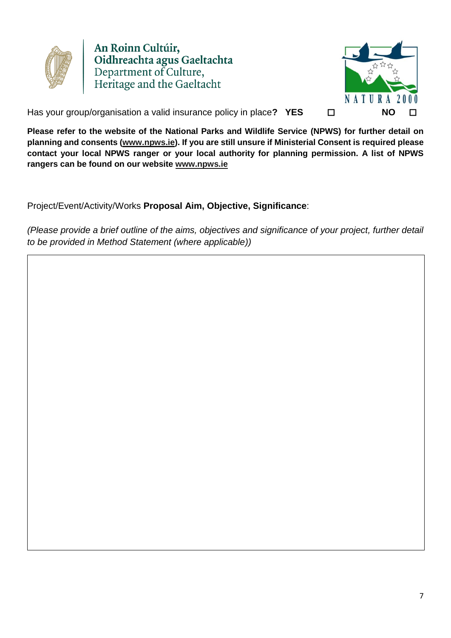

An Roinn Cultúir, **Commodition**<br> **Contraction**<br> **Contract Department of Culture,<br>
Heritage and the Gaeltacht** 



Has your group/organisation a valid insurance policy in place? YES □

**Please refer to the website of the National Parks and Wildlife Service (NPWS) for further detail on planning and consents [\(www.npws.ie\)](http://www.npws.ie/). If you are still unsure if Ministerial Consent is required please contact your local NPWS ranger or your local authority for planning permission. A list of NPWS rangers can be found on our website [www.npws.ie](http://www.npws.ie/)**

Project/Event/Activity/Works **Proposal Aim, Objective, Significance**:

*(Please provide a brief outline of the aims, objectives and significance of your project, further detail to be provided in Method Statement (where applicable))*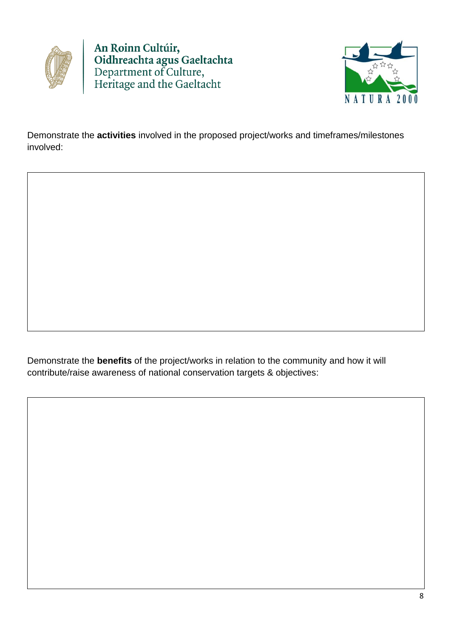



Demonstrate the **activities** involved in the proposed project/works and timeframes/milestones involved:

Demonstrate the **benefits** of the project/works in relation to the community and how it will contribute/raise awareness of national conservation targets & objectives: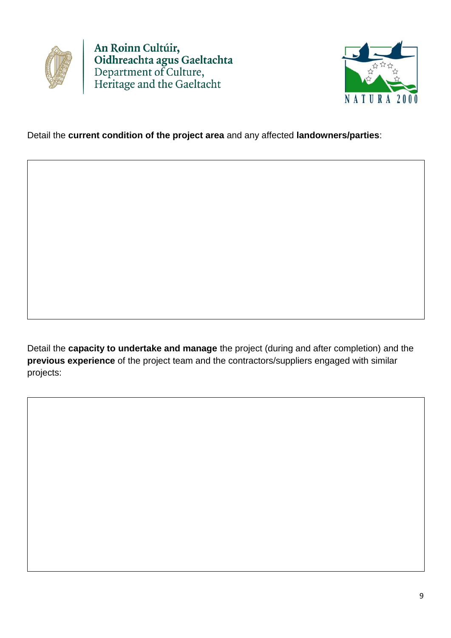



### Detail the **current condition of the project area** and any affected **landowners/parties**:

Detail the **capacity to undertake and manage** the project (during and after completion) and the **previous experience** of the project team and the contractors/suppliers engaged with similar projects: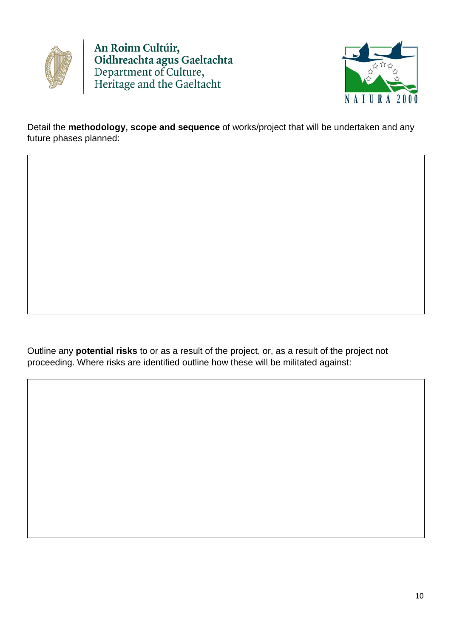



Detail the **methodology, scope and sequence** of works/project that will be undertaken and any future phases planned:

Outline any **potential risks** to or as a result of the project, or, as a result of the project not proceeding. Where risks are identified outline how these will be militated against: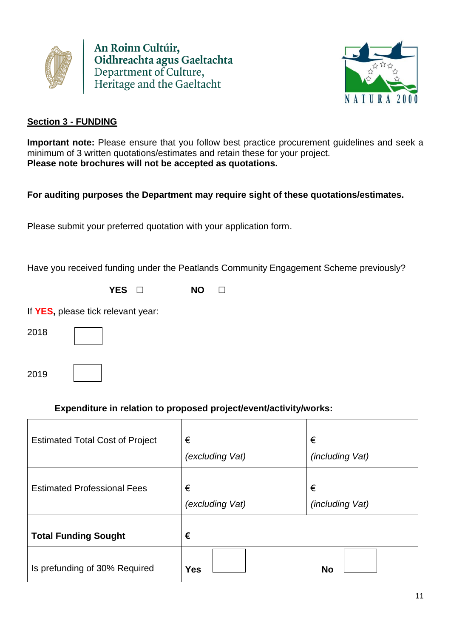



#### **Section 3 - FUNDING**

**Important note:** Please ensure that you follow best practice procurement guidelines and seek a minimum of 3 written quotations/estimates and retain these for your project. **Please note brochures will not be accepted as quotations.** 

### **For auditing purposes the Department may require sight of these quotations/estimates.**

Please submit your preferred quotation with your application form.

Have you received funding under the Peatlands Community Engagement Scheme previously?

**YES** ☐ **NO** ☐

If **YES,** please tick relevant year:

| I | I<br>× |  |
|---|--------|--|
|   |        |  |
|   |        |  |

2019

### **Expenditure in relation to proposed project/event/activity/works:**

| <b>Estimated Total Cost of Project</b> | €<br>(excluding Vat) | €<br><i>(including Vat)</i> |
|----------------------------------------|----------------------|-----------------------------|
| <b>Estimated Professional Fees</b>     | €<br>(excluding Vat) | €<br><i>(including Vat)</i> |
| <b>Total Funding Sought</b>            | €                    |                             |
| Is prefunding of 30% Required          | <b>Yes</b>           | <b>No</b>                   |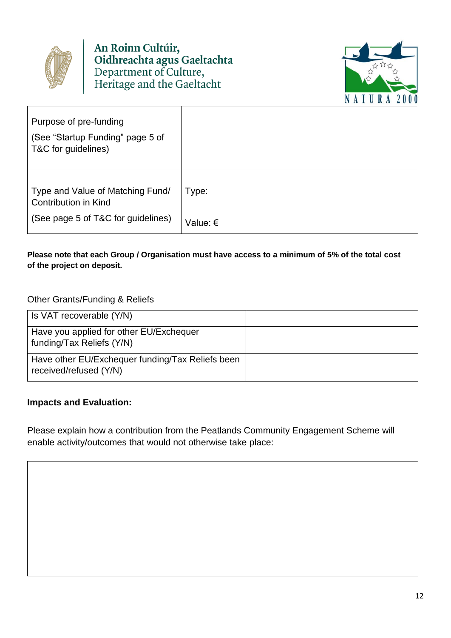



| Purpose of pre-funding<br>(See "Startup Funding" page 5 of<br>T&C for guidelines)                     |          |
|-------------------------------------------------------------------------------------------------------|----------|
| Type and Value of Matching Fund/<br><b>Contribution in Kind</b><br>(See page 5 of T&C for guidelines) | Type:    |
|                                                                                                       | Value: € |

l

#### **Please note that each Group / Organisation must have access to a minimum of 5% of the total cost of the project on deposit.**

#### Other Grants/Funding & Reliefs

| Is VAT recoverable (Y/N)                                                   |  |
|----------------------------------------------------------------------------|--|
| Have you applied for other EU/Exchequer<br>funding/Tax Reliefs (Y/N)       |  |
| Have other EU/Exchequer funding/Tax Reliefs been<br>received/refused (Y/N) |  |

#### **Impacts and Evaluation:**

Please explain how a contribution from the Peatlands Community Engagement Scheme will enable activity/outcomes that would not otherwise take place: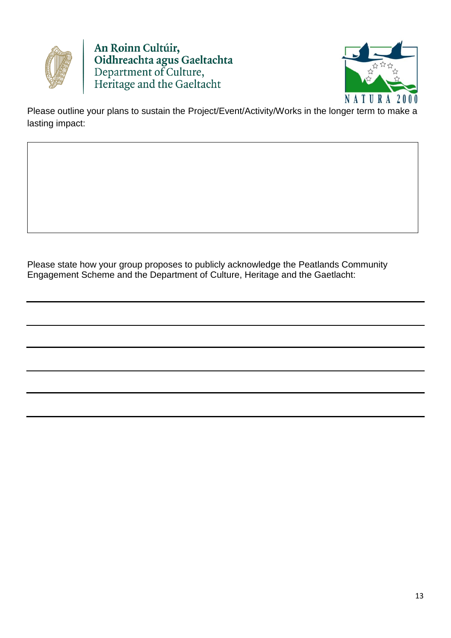



Please outline your plans to sustain the Project/Event/Activity/Works in the longer term to make a lasting impact:

Please state how your group proposes to publicly acknowledge the Peatlands Community Engagement Scheme and the Department of Culture, Heritage and the Gaetlacht: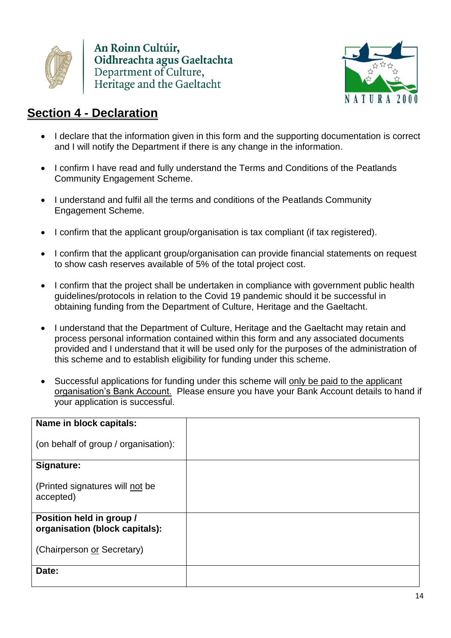



# **Section 4 - Declaration**

- I declare that the information given in this form and the supporting documentation is correct and I will notify the Department if there is any change in the information.
- I confirm I have read and fully understand the Terms and Conditions of the Peatlands Community Engagement Scheme.
- I understand and fulfil all the terms and conditions of the Peatlands Community Engagement Scheme.
- I confirm that the applicant group/organisation is tax compliant (if tax registered).
- I confirm that the applicant group/organisation can provide financial statements on request to show cash reserves available of 5% of the total project cost.
- I confirm that the project shall be undertaken in compliance with government public health guidelines/protocols in relation to the Covid 19 pandemic should it be successful in obtaining funding from the Department of Culture, Heritage and the Gaeltacht.
- I understand that the Department of Culture, Heritage and the Gaeltacht may retain and process personal information contained within this form and any associated documents provided and I understand that it will be used only for the purposes of the administration of this scheme and to establish eligibility for funding under this scheme.
- Successful applications for funding under this scheme will only be paid to the applicant organisation's Bank Account. Please ensure you have your Bank Account details to hand if your application is successful.

| Name in block capitals:                                    |  |
|------------------------------------------------------------|--|
| (on behalf of group / organisation):                       |  |
| Signature:                                                 |  |
| (Printed signatures will not be<br>accepted)               |  |
| Position held in group /<br>organisation (block capitals): |  |
| (Chairperson or Secretary)                                 |  |
| Date:                                                      |  |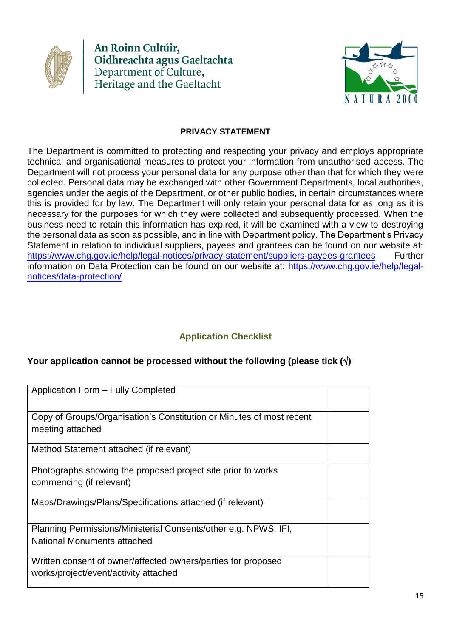



#### **PRIVACY STATEMENT**

The Department is committed to protecting and respecting your privacy and employs appropriate technical and organisational measures to protect your information from unauthorised access. The Department will not process your personal data for any purpose other than that for which they were collected. Personal data may be exchanged with other Government Departments, local authorities, agencies under the aegis of the Department, or other public bodies, in certain circumstances where this is provided for by law. The Department will only retain your personal data for as long as it is necessary for the purposes for which they were collected and subsequently processed. When the business need to retain this information has expired, it will be examined with a view to destroying the personal data as soon as possible, and in line with Department policy. The Department's Privacy Statement in relation to individual suppliers, payees and grantees can be found on our website at: <https://www.chg.gov.ie/help/legal-notices/privacy-statement/suppliers-payees-grantees> Further information on Data Protection can be found on our website at: [https://www.chg.gov.ie/help/legal](https://www.chg.gov.ie/help/legal-notices/data-protection/)[notices/data-protection/](https://www.chg.gov.ie/help/legal-notices/data-protection/)

### **Application Checklist**

#### **Your application cannot be processed without the following (please tick ()**

| Application Form - Fully Completed                                                                     |  |
|--------------------------------------------------------------------------------------------------------|--|
| Copy of Groups/Organisation's Constitution or Minutes of most recent                                   |  |
| meeting attached                                                                                       |  |
| Method Statement attached (if relevant)                                                                |  |
| Photographs showing the proposed project site prior to works                                           |  |
| commencing (if relevant)                                                                               |  |
| Maps/Drawings/Plans/Specifications attached (if relevant)                                              |  |
| Planning Permissions/Ministerial Consents/other e.g. NPWS, IFI,                                        |  |
| National Monuments attached                                                                            |  |
| Written consent of owner/affected owners/parties for proposed<br>works/project/event/activity attached |  |